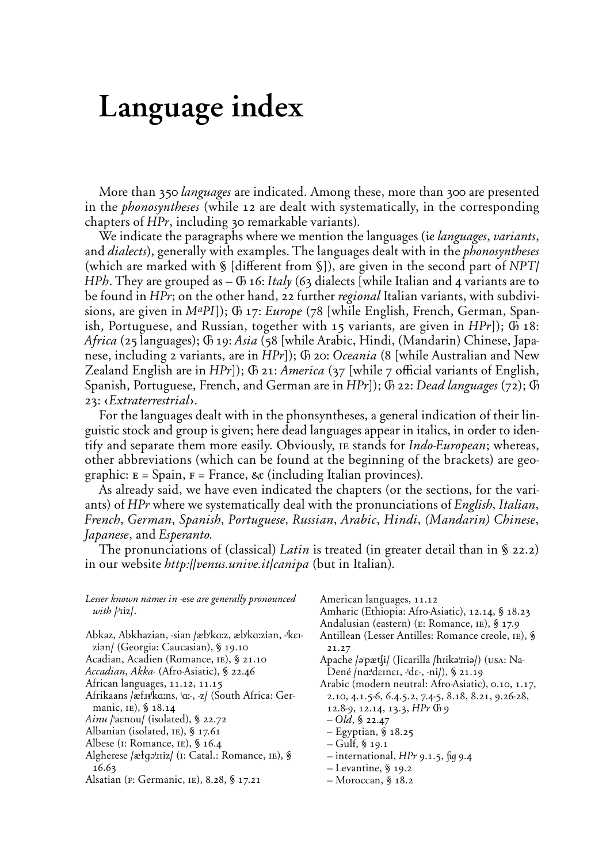# Language index

More than 350 *languages* are indicated. Among these, more than 300 are presented in the *phonosyntheses* (while 12 are dealt with systematically, in the corresponding chapters of *HPr*, including 30 remarkable variants).

We indicate the paragraphs where we mention the languages (*¤ languages*, *variants*, and *dialects*), generally with examples. The languages dealt with in the *phonosyntheses* (which are marked with § [different from §]), are given in the second part of *NPT HPh*. They are grouped as – *é* 16: *Italy* (63 dialects {while Italian and 4 variants are to be found in *HPr*; on the other hand, 22 further *regional* Italian variants, with subdivisions, are given in *MaPI*}); *é* 17: *Europe* (78 {while English, French, German, Spanish, Portuguese, and Russian, together with 15 variants, are given in *HPr*}); *é* 18: *Africa* (25 languages); *é* 19: *Asia* (58 {while Arabic, Hindi, (Mandarin) Chinese, Japanese, including 2 variants, are in *HPr*}); *é* 20: *Oceania* (8 {while Australian and New Zealand English are in *HPr*]); *G* 21: *America* (37 [while 7 official variants of English, Spanish, Portuguese, French, and German are in *HPr*}); *é* 22: *Dead languages* (72); *é* 23: *Extraterrestrial</sub>.* 

For the languages dealt with in the phonsyntheses, a general indication of their linguistic stock and group is given; here dead languages appear in italics, in order to identify and separate them more easily. Obviously, *IE* stands for *Indo-European*; whereas, other abbreviations (which can be found at the beginning of the brackets) are geographic:  $E = Spani$ ,  $F = France$ ,  $\&c$  (including Italian provinces).

As already said, we have even indicated the chapters (or the sections, for the variants) of *HPr* where we systematically deal with the pronunciations of *English*, Italian, French, German, Spanish, Portuguese, Russian, Arabic, Hindi, (Mandarin) Chinese, *Japanese*, and *Esperanto.*

The pronunciations of (classical) *Latin* is treated (in greater detail than in § 22.2) in our website *http://venus.unive.it/canipa* (but in Italian).

*Lesser known names in* -ese *are generally pronounced*  $with$   $|$ <sup>'</sup> $\frac{1}{2}$  $\frac{1}{2}$ 

American languages, 11.12

Amharic (Ethiopia: Afro-Asiatic), 12.14, § 18.23

Andalusian (eastern) (E: Romance, IE), § 17.9

Antillean (Lesser Antilles: Romance creole, IE), § 21.27

Apache /əˈpætʃi/ (Jicarilla /hɪikəˈɪriə/) (USA: Na-Dené /na<sup>derner, -de-, -ni/), § 21.19</sup>

Arabic (modern neutral: Afro-Asiatic), 0.10, 1.17, 2.10, 4.1.5-6, 6.4.5.2, 7.4-5, 8.18, 8.21, 9.26-28,

- 12.8-9, 12.14, 13.3, *HPr é* 9
- $-$  Old, § 22.47
- Egyptian, *M* 18.25
- Gulf, *M* 19.1
- international, *HPr* 9.1.5, *û* 9.4
- Levantine, *M* 19.2
- Moroccan, *M* 18.2
- Abkaz, Abkhazian, -sian /æb<sup>k</sup>α:z, æb<sup>k</sup>α:ziən, -<sup>ι</sup>kειziən/ (Georgia: Caucasian), § 19.10
- Acadian, Acadien (Romance, IE), § 21.10
- *Accadian˚ Akka-* (Afro-Asiatic), *M* 22.46 African languages, 11.12, 11.15
- Afrikaans /æf11ka:ns, 'a:-, -z/ (South Africa: Ger-
- manic, <sup>IE</sup>), § 18.14
- *Ainu* /'aɛnʊu/ (isolated), § 22.72
- Albanian (isolated, IE), § 17.61
- Albese (I: Romance, IE), § 16.4
- Algherese /æłqə'IIiz/ (I: Catal.: Romance, IE), § 16.63
- Alsatian (F: Germanic, IE), 8.28, § 17.21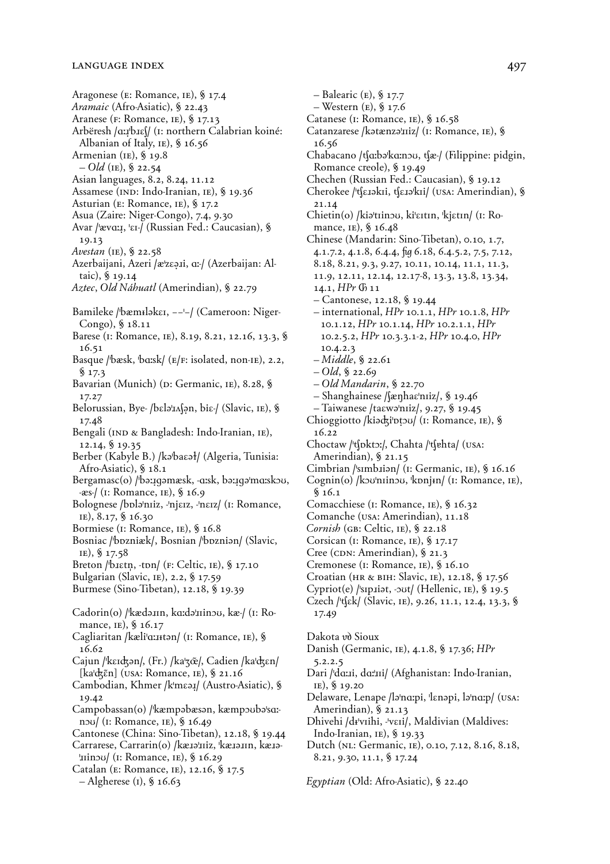Aragonese (E: Romance, IE), § 17.4 *Aramaic* (Afro-Asiatic), § 22.43 Aranese (F: Romance, IE), § 17.13 Arbëresh **/A:≤'b<ES/** (¤: northern Calabrian koiné: Albanian of Italy, *IE*), § 16.56 Armenian (IE), § 19.8  $-$  Old (IE), § 22.54 Asian languages, 8.2, 8.24, 11.12 Assamese (IND: Indo-Iranian, IE), § 19.36 Asturian (E: Romance, IE), § 17.2 Asua (Zaire: Niger-Congo), 7.4, 9.30 Avar /ˈævɑːɪ, <sup>'</sup>ει-/ (Russian Fed.: Caucasian), § 19.13 *Avestan* (IE), § 22.58 Azerbaijani, Azeri /æ<sup>1</sup>zεạ*ii*, α: / (Azerbaijan: Altaic), *M* 19.14 *Aztec*, *Old Náhuatl* (Amerindian), *M* 22.79 Bamileke /<sup>t</sup>bæmIləkει, --'-/ (Cameroon: Niger-Congo), § 18.11 Barese (I: Romance, IE), 8.19, 8.21, 12.16, 13.3, § 16.51 Basque /'bæsk, 'bɑːsk/ (E/F: isolated, non-IE), 2.2, *M* 17.3 Bavarian (Munich) (D: Germanic, IE), 8.28, § 17.27 Belorussian, Bye- /bɛlə¦ɪʌʃən, biɛ-/ (Slavic, *IE*), § 17.48 Bengali (IND & Bangladesh: Indo-Iranian, IE), 12.14, *M* 19.35 Berber (Kabyle B.) /kə<sup>l</sup>baɛəł/ (Algeria, Tunisia: Afro-Asiatic), *M* 18.1 Bergamasc(o) /bə:1qəmæsk, -a:sk, bə:1qə<sup>1</sup>ma:skou, **-πs-/** (¤: Romance, ¤™), *M* 16.9 Bolognese /bɒləˈnɪiz, -ˈnjɛɪz, -ˈnɛɪz/ (1: Romance, IE), 8.17, § 16.30 Bormiese ( $I:$  Romance,  $I<sub>E</sub>$ ), § 16.8 Bosniac /'bɒzniæk/, Bosnian /'bɒzniən/ (Slavic, ¤™), *M* 17.58 Breton /bistn, -ton/ (F: Celtic, IE), § 17.10 Bulgarian (Slavic, IE), 2.2, § 17.59 Burmese (Sino-Tibetan), 12.18, § 19.39 Cadorin(o) /kædə *IIIn, ka:d*ə | IIInou, kæ/ (I: Romance, *IE*), § 16.17 Cagliaritan /kæli'a:Ittən/ (I: Romance, IE), § 16.62 Cajun **/'kEIGÈn/,** (Fr.) /**ka'Z^/,** Cadien **/ka'GEn/ (ka'Gín)** (¨ßå: Romance, ¤™), *M* 21.16 Cambodian, Khmer /k'mεa*ː*/ (Austro-Asiatic), § 19.42 Campobassan(o) /<sup>'</sup>kæmpəbæsən, kæmpoubə'sa:nou/ ( $\text{I:}$  Romance,  $\text{IE}$ ), § 16.49 Cantonese (China: Sino-Tibetan), 12.18, § 19.44 Carrarese, Carrarin(o) /kæIauiz, 'kæIaIIn, kæIa-**'<IinOU/** (¤: Romance, ¤™), *M* 16.29 Catalan (E: Romance, IE), 12.16, § 17.5 – Algherese (¤), *M* 16.63

– Western (E), § 17.6 Catanese (I: Romance, IE), § 16.58 Catanzarese /kətænzə'iIiz/ (1: Romance, 1E), § 16.56 Chabacano **/cA:bÈ'kA:nOU, cπ-/** (≈lippine: pidgin, Romance creole), § 19.49 Chechen (Russian Fed.: Caucasian), § 19.12 Cherokee /'tʃɛɹəkɪi, tʃɛɪə'kɪi/ (usa: Amerindian), § 21.14 Chietin(o) /ki<sup>3</sup>trinou, ki'EItIn, 'kjetIn/ (I: Romance, *IE*), § 16.48 Chinese (Mandarin: Sino-Tibetan), 0.10, 1.7, 4.1.7.2, 4.1.8, 6.4.4, *û* 6.18, 6.4.5.2, 7.5, 7.12, 8.18, 8.21, 9.3, 9.27, 10.11, 10.14, 11.1, 11.3, 11.9, 12.11, 12.14, 12.17-8, 13.3, 13.8, 13.34, 14.1, *HPr é* 11 – Cantonese, 12.18, *M* 19.44 – international, *HPr* 10.1.1, *HPr* 10.1.8, *HPr* 10.1.12, *HPr* 10.1.14, *HPr* 10.2.1.1, *HPr* 10.2.5.2, *HPr* 10.3.3.1-2, *HPr* 10.4.0, *HPr* 10.4.2.3 – *Middle*, *M* 22.61  $-$  Old, § 22.69 – *Old Mandarin*, *M* 22.70 – Shanghainese **/Sπ˙haE'nIiz/**, *M* 19.46 – Taiwanese **/taEwÈ'nIiz/**, 9.27, *M* 19.45 Chioggiotto /kiadzi'ptou/ (I: Romance, IE), § 16.22 Choctaw /'tʃpktɔː/, Chahta /'tʃɐhta/ (USA: Amerindian), § 21.15 Cimbrian /'simbiian/ (I: Germanic, IE), § 16.16 Cognin(o) /kov'niinou, 'konjin/ (I: Romance, IE), *M* 16.1 Comacchiese (I: Romance, IE), § 16.32 Comanche (USA: Amerindian), 11.18 *Cornish* (GB: Celtic, IE), § 22.18 Corsican (I: Romance, IE), § 17.17 Cree (CDN: Amerindian), § 21.3 Cremonese (I: Romance, IE), § 16.10 Croatian (нв & він: Slavic, <sup>1E</sup>), 12.18, § 17.56 Cypriot(e) **/'sIp<iÈt, -OUt/** (Hellenic, ¤™), *M* 19.5 Czech /<sup>*v*</sup>ζεk/ (Slavic, <sub>IE</sub>), 9.26, 11.1, 12.4, 13.3, § 17.49 Dakota *v*<sub>d</sub> Sioux Danish (Germanic, IE), 4.1.8, § 17.36; *HPr* 5.2.2.5 Dari /'da:ii, da:'ii/ (Afghanistan: Indo-Iranian, IE), § 19.20 Delaware, Lenape /ləˈnɑːpi, ˈlɛnəpi, ləˈnɑːp/ (USA: Amerindian), § 21.13 Dhivehi **/d¢'vIihi, -'vEIi/**, Maldivian (Maldives: Indo-Iranian, *IE*), § 19.33 Dutch (NL: Germanic, IE), 0.10, 7.12, 8.16, 8.18,

– Balearic (E), § 17.7

8.21, 9.30, 11.1, *M* 17.24

*Egyptian* (Old: Afro-Asiatic), § 22.40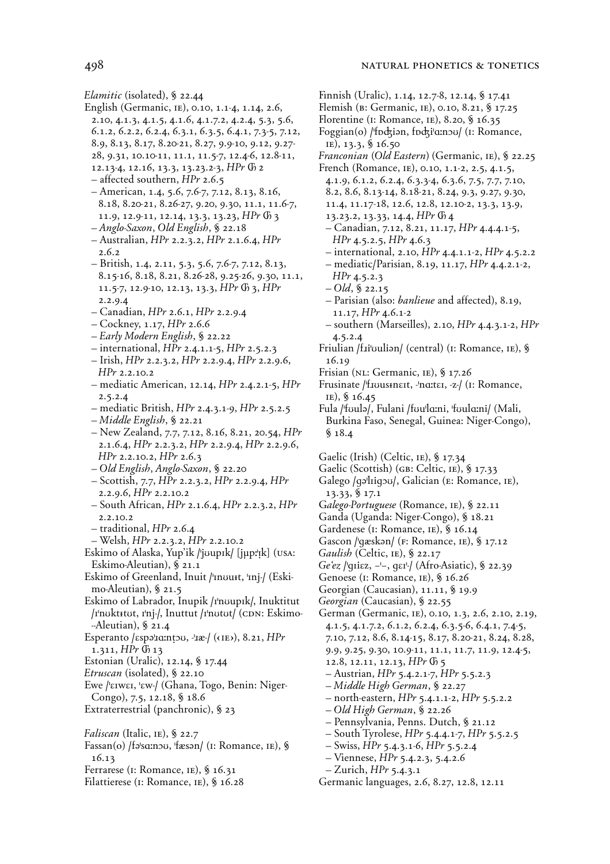- Elamitic (isolated), § 22.44
- English (Germanic, IE), 0.10, 1.1-4, 1.14, 2.6, 2.10, 4.1.3, 4.1.5, 4.1.6, 4.1.7.2, 4.2.4, 5.3, 5.6, 6.1.2, 6.2.2, 6.2.4, 6.3.1, 6.3.5, 6.4.1, 7.3-5, 7.12, 8.9, 8.13, 8.17, 8.20-21, 8.27, 9.9-10, 9.12, 9.27-
	- 28, 9.31, 10.10-11, 11.1, 11.5-7, 12.4-6, 12.8-11, 12.13-4, 12.16, 13.3, 13.23.2-3, HPr G 2
	- affected southern,  $HPr$  2.6.5
	- American, 1.4, 5.6, 7.6-7, 7.12, 8.13, 8.16, 8.18, 8.20-21, 8.26-27, 9.20, 9.30, 11.1, 11.6-7, 11.9, 12.9-11, 12.14, 13.3, 13.23, HPr O 3
	- Anglo-Saxon, Old English, § 22.18
	- Australian, HPr 2.2.3.2, HPr 2.1.6.4, HPr  $2.6.2$
	- British, 1.4, 2.11, 5.3, 5.6, 7.6-7, 7.12, 8.13, 8.15-16, 8.18, 8.21, 8.26-28, 9.25-26, 9.30, 11.1, 11.5-7, 12.9-10, 12.13, 13.3, HPr  $\mathbb{G}$  3, HPr  $2.2.9.4$
	- Canadian, HPr 2.6.1, HPr 2.2.9.4
	- $-$  Cockney, 1.17, HPr 2.6.6
	- $-$  Early Modern English, § 22.22
	- $-$  international, HPr 2.4.1.1-5, HPr 2.5.2.3
	- Irish, HPr 2.2.3.2, HPr 2.2.9.4, HPr 2.2.9.6,  $HPr 2.2.10.2$
	- mediatic American, 12.14,  $HPr$  2.4.2.1-5,  $HPr$  $2.5.2.4$
	- mediatic British, HPr 2.4.3.1-9, HPr 2.5.2.5
	- $-Middle$  English, § 22.21
	- New Zealand, 7.7, 7.12, 8.16, 8.21, 20.54, HPr 2.1.6.4, HPr 2.2.3.2, HPr 2.2.9.4, HPr 2.2.9.6,  $HPr$  2.2.10.2,  $HPr$  2.6.3
	- Old English, Anglo-Saxon, § 22.20
	- $-$  Scottish, 7.7, HPr 2.2.3.2, HPr 2.2.9.4, HPr 2.2.9.6,  $HPr$  2.2.10.2
	- South African, HPr 2.1.6.4, HPr 2.2.3.2, HPr 2.2.10.2
	- $-$  traditional, HPr 2.6.4
- Welsh, HPr 2.2.3.2, HPr 2.2.10.2
- Eskimo of Alaska, Yup'ik /'juupik/ [jµp:'!k] (USA: Eskimo-Aleutian), § 21.1
- Eskimo of Greenland, Inuit /'mourt, 'mj-/ (Eskimo-Aleutian),  $\S$  21.5
- Eskimo of Labrador, Inupik /rnoupik/, Inuktitut /r|nukt+tut, r|nj-/, Inuttut /r|nutut/ (CDN: Eskimo- $-Aleutian$ , § 21.4
- Esperanto / espalantou, -la-/ ((IE), 8.21, HPr 1.311, HPr (h 13
- Estonian (Uralic), 12.14, § 17.44
- Etruscan (isolated), § 22.10
- Ewe /'EIWEI, 'EW-/ (Ghana, Togo, Benin: Niger-Congo), 7.5, 12.18, § 18.6
- Extraterrestrial (panchronic), § 23
- Faliscan (Italic, IE), § 22.7
- Fassan(o) /fa/so:nou, 'fæsan/ (I: Romance, IE), §  $16.13$
- Ferrarese (I: Romance, IE), § 16.31
- Filattierese (I: Romance, IE), § 16.28
- Finnish (Uralic), 1.14, 12.7-8, 12.14, § 17.41
- Flemish (B: Germanic, IE), 0.10, 8.21, § 17.25
- Florentine (I: Romance, IE), 8.20, § 16.35
- Foggian(o) / fodzian, fodzi a:nov/ (1: Romance, IE), 13.3,  $$16.50$
- Franconian (Old Eastern) (Germanic, IE), § 22.25
- French (Romance, IE), 0.10, 1.1-2, 2.5, 4.1.5, 4.1.9, 6.1.2, 6.2.4, 6.3.3-4, 6.3.6, 7.5, 7.7, 7.10, 8.2, 8.6, 8.13-14, 8.18-21, 8.24, 9.3, 9.27, 9.30,
	- 11.4, 11.17-18, 12.6, 12.8, 12.10-2, 13.3, 13.9, 13.23.2, 13.33, 14.4, HPr  $\oplus$  4
- Canadian, 7.12, 8.21, 11.17, HPr 4.4.4.1-5,  $HPr$  4.5.2.5,  $HPr$  4.6.3
- $-$  international, 2.10, HPr 4.4.1.1-2, HPr 4.5.2.2
- mediatic/Parisian, 8.19, 11.17, HPr 4.4.2.1-2,  $HPr$  4.5.2.3
- $-$  Old, § 22.15
- Parisian (also: *banlieue* and affected), 8.19, 11.17,  $HPr$  4.6.1-2
- $-$  southern (Marseilles), 2.10, HPr 4.4.3.1-2, HPr  $4.5.2.4$
- Friulian /fiibulian/ (central) (I: Romance, IE), § 16.19
- Frisian (NL: Germanic, IE), § 17.26
- Frusinate /'f.IUUSHIEIt, -'natter, -z-/ (I: Romance, IE), § 16.45
- Fula /'foula/, Fulani /fou'lo:ni, 'foulo:ni/ (Mali, Burkina Faso, Senegal, Guinea: Niger-Congo),  $$18.4$

Gaelic (Irish) (Celtic, IE), § 17.34

- Gaelic (Scottish) (GB: Celtic, IE), § 17.33
- Galego /qaliiqov/, Galician (E: Romance, IE), 13.33, § 17.1
- Galego-Portuguese (Romance, IE), § 22.11
- Ganda (Uganda: Niger-Congo), § 18.21
- Gardenese (I: Romance, IE), § 16.14
- Gascon /ˈqæskən/ (F: Romance, IE), § 17.12
- Gaulish (Celtic, IE), § 22.17
- Ge'ez /ˈgɪiɛz, -'-, gɛɪ<sup>ı</sup>/ (Afro-Asiatic), § 22.39
- Genoese (I: Romance, IE), § 16.26
- Georgian (Caucasian), 11.11, § 19.9
- Georgian (Caucasian), § 22.55
- German (Germanic, IE), 0.10, 1.3, 2.6, 2.10, 2.19, 4.1.5, 4.1.7.2, 6.1.2, 6.2.4, 6.3.5-6, 6.4.1, 7.4-5, 7.10, 7.12, 8.6, 8.14-15, 8.17, 8.20-21, 8.24, 8.28, 9.9, 9.25, 9.30, 10.9-11, 11.1, 11.7, 11.9, 12.4-5, 12.8, 12.11, 12.13,  $HPr$   $\oplus$  5
- Austrian, HPr 5.4.2.1-7, HPr 5.5.2.3
- Middle High German, § 22.27
- north-eastern,  $HPr$  5.4.1.1-2,  $HPr$  5.5.2.2
- $-$  Old High German, § 22.26
- Pennsylvania, Penns. Dutch, § 21.12
- South Tyrolese,  $HPr$  5.4.4.1-7,  $HPr$  5.5.2.5
- $-$  Swiss, HPr 5.4.3.1-6, HPr 5.5.2.4
- $-$  Viennese,  $HPr$  5.4.2.3, 5.4.2.6
- $-$  Zurich, HPr 5.4.3.1
- Germanic languages, 2.6, 8.27, 12.8, 12.11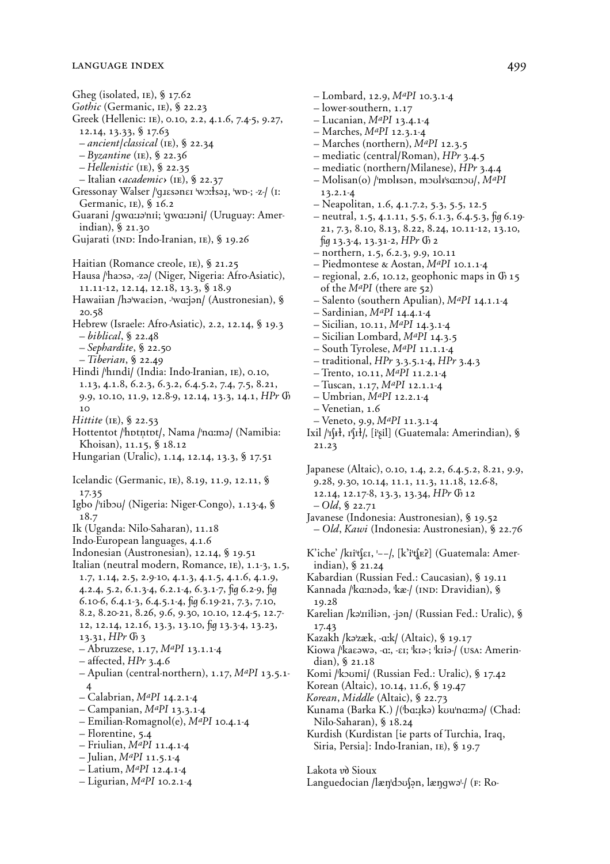Gheg (isolated, IE), § 17.62 Gothic (Germanic, IE), § 22.23 Greek (Hellenic: IE), 0.10, 2.2, 4.1.6, 7.4-5, 9.27,  $12.14, 13.33,$  \$17.63  $-$  ancient/classical (IE), § 22.34  $-$  Byzantine (IE), § 22.36  $-$  Hellenistic (IE), § 22.35 - Italian *sacademic* (IE), § 22.37 Gressonay Walser /ˈqɪɛsənɛɪ ˈwɔːłsəɪ̯, ˈwɒ-; -z-/ (I: Germanic,  $IE$ ), § 16.2 Guarani / gwa:12'n1i; 'gwa:12ni/ (Uruguay: Amerindian), § 21.30 Gujarati (IND: Indo-Iranian, IE), § 19.26 Haitian (Romance creole, IE), § 21.25 Hausa /'haosa, -za/ (Niger, Nigeria: Afro-Asiatic),  $11.11-12, 12.14, 12.18, 13.3,$  \$ 18.9 Hawaiian /hawasian, -warjan/ (Austronesian), §  $20.58$ Hebrew (Israele: Afro-Asiatic), 2.2, 12.14, § 19.3  $- biblical, \S 22.48$  $-$ Sephardite, § 22.50  $-$ Tiberian, § 22.49 Hindi /'hındi/ (India: Indo-Iranian, IE), 0.10, 1.13, 4.1.8, 6.2.3, 6.3.2, 6.4.5.2, 7.4, 7.5, 8.21, 9.9, 10.10, 11.9, 12.8-9, 12.14, 13.3, 14.1, HPr O  $10$ Hittite (IE), § 22.53 Hottentot /'hotntot/, Nama /'na:ma/ (Namibia: Khoisan), 11.15, § 18.12 Hungarian (Uralic), 1.14, 12.14, 13.3, § 17.51 Icelandic (Germanic, IE), 8.19, 11.9, 12.11, § 17.35 Igbo /'ribou/ (Nigeria: Niger-Congo), 1.13-4, § 18.7 Ik (Uganda: Nilo-Saharan), 11.18 Indo-European languages, 4.1.6 Indonesian (Austronesian), 12.14, § 19.51 Italian (neutral modern, Romance, IE), 1.1-3, 1.5, 1.7, 1.14, 2.5, 2.9-10, 4.1.3, 4.1.5, 4.1.6, 4.1.9, 4.2.4, 5.2, 6.1.3-4, 6.2.1-4, 6.3.1-7, fig 6.2-9, fig  $6.10-6, 6.4.1-3, 6.4.5.1-4, \text{fi}$   $q 6.19-21, 7.3, 7.10,$ 8.2, 8.20-21, 8.26, 9.6, 9.30, 10.10, 12.4-5, 12.7-12, 12.14, 12.16, 13.3, 13.10,  $\frac{1}{3}$  13.3-4, 13.23, 13.31,  $HPr$   $@3$  $-$  Abruzzese, 1.17,  $M^{a}PI$  13.1.1-4  $-$  affected, HPr 3.4.6  $-$  Apulian (central-northern), 1.17,  $M^{a}PI$  13.5.1- $\overline{\mathbf{A}}$  $-$  Calabrian, MaPI 14.2.1-4 - Campanian,  $M^{a}PI$  13.3.1-4  $-$  Emilian-Romagnol(e), M<sup>ap</sup>I 10.4.1-4 - Florentine, 5.4 - Friulian,  $M^{a}$ PI 11.4.1-4 - Julian,  $M^{a}$ PI 11.5.1-4 - Latium, MaPI 12.4.1-4 - Ligurian,  $M^{a}$ PI 10.2.1-4

 $-$  Lombard, 12.9,  $M^{a}$ PI 10.3.1-4  $-$ lower-southern, 1.17 - Lucanian,  $M^{a}PI$  13.4.1-4  $-$  Marches, *MaPI* 12.3.1-4 - Marches (northern), MaPI 12.3.5 - mediatic (central/Roman), HPr 3.4.5 - mediatic (northern/Milanese), HPr 3.4.4 - Molisan(o) / mpl san, moult squared, MaPI  $13.2.1 - 4$ - Neapolitan, 1.6, 4.1.7.2, 5.3, 5.5, 12.5  $-$  neutral, 1.5, 4.1.11, 5.5, 6.1.3, 6.4.5.3, fig 6.19-21, 7.3, 8.10, 8.13, 8.22, 8.24, 10.11-12, 13.10,  $fig 13.3-4, 13.31-2, HPr$   $G$  2 - northern, 1.5, 6.2.3, 9.9, 10.11 - Piedmontese & Aostan,  $M^{a}PI$  10.1.1-4  $-$  regional, 2.6, 10.12, geophonic maps in  $\Phi$  15 of the M<sup>a</sup>PI (there are 52) - Salento (southern Apulian), MaPI 14.1.1-4  $-$  Sardinian, MaPI 14.4.1-4  $-$  Sicilian, 10.11, M<sup>ap</sup>I 14.3.1-4 - Sicilian Lombard, MaPI 14.3.5 - South Tyrolese, MaPI 11.1.1-4  $-$  traditional, HPr 3.3.5.1-4, HPr 3.4.3 - Trento, 10.11,  $M^{a}PI$  11.2.1-4 - Tuscan, 1.17,  $M^{a}$ PI 12.1.1-4  $-$  Umbrian, MaPI 12.2.1-4 - Venetian, 1.6 - Veneto, 9.9, M<sup>ap</sup>I 11.3.1-4 Ixil /'Ift}, I'fił/, [i'gil] (Guatemala: Amerindian), § 21.23 Japanese (Altaic), 0.10, 1.4, 2.2, 6.4.5.2, 8.21, 9.9, 9.28, 9.30, 10.14, 11.1, 11.3, 11.18, 12.6-8, 12.14, 12.17-8, 13.3, 13.34, HPr O 12  $-Old, \S 22.71$ Javanese (Indonesia: Austronesian), § 19.52 - Old, Kawi (Indonesia: Austronesian), § 22.76 K'iche' /kɪi'tʃɛɪ, '--/, [k'i'tʃɛʔ] (Guatemala: Amerindian), § 21.24 Kabardian (Russian Fed.: Caucasian), § 19.11 Kannada /kanada, kæ/ (IND: Dravidian), § 19.28 Karelian /karilian, -jan/ (Russian Fed.: Uralic), § 17.43 Kazakh /kazæk, -aːk/ (Altaic), § 19.17 Kiowa /kaεawa, -α;, -ει; kua-; kua-/ (usa: Amerindian),  $\S$  21.18 Komi /koumi/ (Russian Fed.: Uralic), § 17.42 Korean (Altaic), 10.14, 11.6, § 19.47 Korean, Middle (Altaic), § 22.73 Kunama (Barka K.) / ('bɑːɪkə) kʊu'nɑːmə/ (Chad: Nilo-Saharan), § 18.24 Kurdish (Kurdistan [ie parts of Turchia, Iraq, Siria, Persia]: Indo-Iranian, IE), § 19.7 Lakota vò Sioux

Languedocian /lændouson, længwa-/ (F: Ro-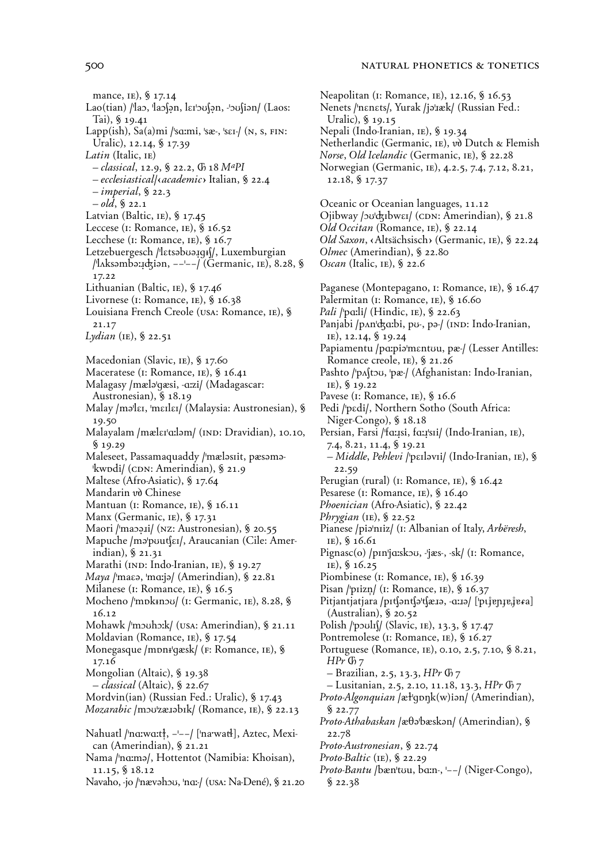#### NATURAL PHONETICS & TONETICS

mance, IE), § 17.14 Lao(tian) /lao, lao(an, larbo(an, -bo(ian/ (Laos: Tai),  $$19.41$ Lapp(ish),  $Sa(a)mi$  /ˈsɑːmi, ˈsæ-, ˈsɛɪ-/ (N, S, FIN: Uralic), 12.14, § 17.39 Latin (Italic, IE) - classical, 12.9, § 22.2, Ch 18 MaPI - ecclesiastical/sacademic> Italian, § 22.4  $-$ *imperial*, § 22.3  $-$  old, § 22.1 Latvian (Baltic, IE), § 17.45 Leccese (I: Romance, IE), § 16.52 Lecchese (I: Romance, IE), § 16.7 Letzebuergesch /'latsabua.jgif/, Luxemburgian /'laksəmbə: idiən,  $-\frac{1}{1}$  (Germanic, IE), 8.28, § 17.22 Lithuanian (Baltic, IE), § 17.46 Livornese (I: Romance, IE), § 16.38 Louisiana French Creole (USA: Romance, IE), § 21.17 Lydian (IE), § 22.51 Macedonian (Slavic, IE), § 17.60 Maceratese (I: Romance, IE), § 16.41 Malagasy /mæla/gæsi, -aːzi/ (Madagascar: Austronesian), § 18.19 Malay /maler, 'merler/ (Malaysia: Austronesian), § 19.50 Malayalam /mælɛr'aːləm/ (IND: Dravidian), 10.10,  $\frac{6}{3}$  19.29 Maleseet, Passamaquaddy /'mælasiit, pæsamakwodi/ (CDN: Amerindian), § 21.9 Maltese (Afro-Asiatic), § 17.64 Mandarin vò Chinese Mantuan (I: Romance, IE), § 16.11 Manx (Germanic, IE), § 17.31 Maori / mapaii/ (NZ: Austronesian), § 20.55 Mapuche /mə pout (ει), Araucanian (Cile: Amerindian), § 21.31 Marathi (IND: Indo-Iranian, IE), § 19.27 Maya / maca, 'marja/ (Amerindian), § 22.81 Milanese (I: Romance, IE), § 16.5 Mocheno /ˈmɒkɨnɔʊ/ (I: Germanic, IE), 8.28, §  $16.12$ Mohawk /'mouho:k/ (USA: Amerindian), § 21.11 Moldavian (Romance, IE), § 17.54 Monegasque /mpni/gæsk/ (F: Romance, IE), § 17.16 Mongolian (Altaic), § 19.38 *– classical* (Altaic), § 22.67 Mordvin(ian) (Russian Fed.: Uralic), § 17.43 Mozarabic /mou'zæIabik/ (Romance, IE), § 22.13 Nahuatl /'nɑːwɑːtł, -'--/ ['na·watł], Aztec, Mexican (Amerindian), § 21.21 Nama /'nɑːmə/, Hottentot (Namibia: Khoisan),  $11.15, $18.12$ Navaho, -jo /ˈnævəhɔʊ, ˈnɑː-/ (USA: Na-Dené), § 21.20 Neapolitan (I: Romance, IE), 12.16, § 16.53 Nenets /'nɛnɛts/, Yurak /jəˈiæk/ (Russian Fed.: Uralic), § 19.15 Nepali (Indo-Iranian, IE), § 19.34 Netherlandic (Germanic, IE), vò Dutch & Flemish Norse, Old Icelandic (Germanic, IE), § 22.28 Norwegian (Germanic, IE), 4.2.5, 7.4, 7.12, 8.21, 12.18, § 17.37 Oceanic or Oceanian languages, 11.12 Ojibway /20'dzibwei/ (CDN: Amerindian), § 21.8 Old Occitan (Romance, IE), § 22.14 Old Saxon, «Altsächsisch» (Germanic, IE), § 22.24 Olmec (Amerindian), § 22.80 Oscan (Italic, IE), § 22.6 Paganese (Montepagano, I: Romance, IE), § 16.47 Palermitan (I: Romance, IE), § 16.60 Pali /'pa:li/ (Hindic, IE), § 22.63 Panjabi /pʌnˈʤɑːbi, pʊ-, pə-/ (IND: Indo-Iranian, IE), 12.14, § 19.24 Papiamentu /pɑːpiəˈmɛntʊu, pæ-/ (Lesser Antilles: Romance creole, IE), § 21.26 Pashto /'p^{tou, 'pæ-/ (Afghanistan: Indo-Iranian, IE), § 19.22 Pavese (I: Romance, IE), § 16.6 Pedi /ˈpɛdi/, Northern Sotho (South Africa: Niger-Congo), § 18.18 Persian, Farsi /'faːisi, faːiˈsii/ (Indo-Iranian, IE), 7.4, 8.21, 11.4, § 19.21 - Middle, Pehlevi /ˈpɛɪləvɪi/ (Indo-Iranian, IE), §  $22.59$ Perugian (rural) (I: Romance, IE), § 16.42 Pesarese (I: Romance, IE), § 16.40 Phoenician (Afro-Asiatic), § 22.42 Phrygian (IE),  $\S$  22.52 Pianese /pia/niiz/ (I: Albanian of Italy, Arbëresh,  $IE),$  § 16.61 Pignasc(o) /pɪn<sup>i</sup>jɑːskɔʊ, -'jæs-, -sk/ (1: Romance, IE), § 16.25 Piombinese (I: Romance, IE), § 16.39 Pisan /ˈpɪizn̩/ (I: Romance, IE), § 16.37 Pitjantjatjara /pɪtʃəntʃəˈtʃæɪə, -aːɪə/ ['pɪjɐnɪɐˌjɐɛa]  $(Australian), § 20.52$ Polish / poult (/ (Slavic, IE), 13.3, § 17.47 Pontremolese (I: Romance, IE), § 16.27 Portuguese (Romance, IE), 0.10, 2.5, 7.10, § 8.21,  $HPr$   $G_7$ - Brazilian, 2.5, 13.3, HPr  $\mathbb{G}_7$ - Lusitanian, 2.5, 2.10, 11.18, 13.3, HPr O 7 Proto-Algonquian /æl'qpnk(w)ian/ (Amerindian),  $$22.77$ Proto-Athabaskan /æ $\theta$ ə'bæskən/ (Amerindian), § 22.78 Proto-Austronesian, § 22.74 Proto-Baltic (IE),  $\S$  22.29 Proto-Bantu /bæn'tou, bain-, '--/ (Niger-Congo),  $$22.38$ 

### 500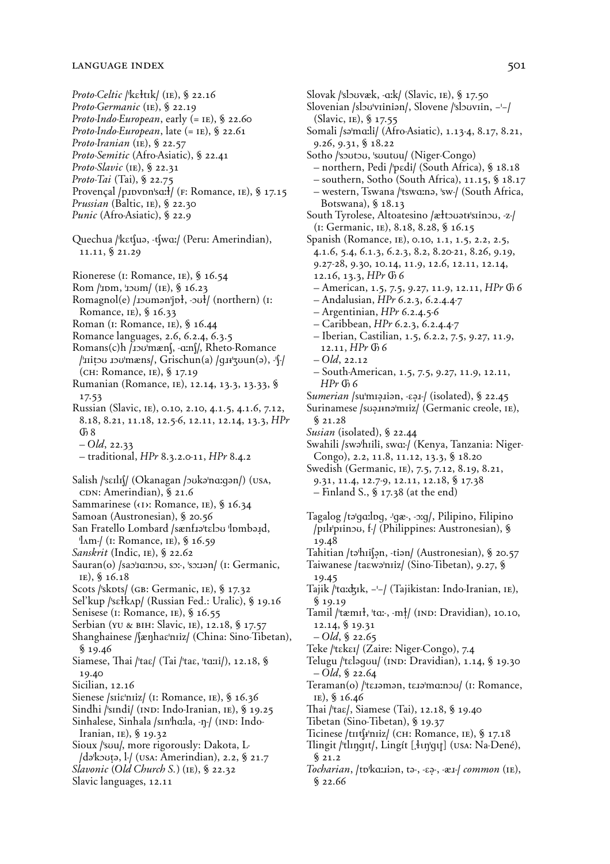- Proto-Celtic /kɛłtɪk/ (IE), § 22.16 Proto-Germanic (IE), § 22.19 Proto-Indo-European, early (= IE), § 22.60 Proto-Indo-European, late  $(=$  IE), § 22.61 Proto-Iranian (IE),  $\S$  22.57 Proto-Semitic (Afro-Asiatic), § 22.41 Proto-Slavic (IE),  $\S$  22.31 Proto-Tai (Tai), § 22.75 Provençal /p1pvpn'sq: f/ (F: Romance, IE), § 17.15 *Prussian* (Baltic, IE),  $\S$  22.30
- *Punic* (Afro-Asiatic), § 22.9
- Quechua /kɛtʃuə, -tʃwɑː/ (Peru: Amerindian), 11.11, § 21.29
- Rionerese ( $\mu$ : Romance,  $\mu$ ), § 16.54
- Rom /'IDm, 'IDUM (IE), § 16.23
- Romagnol(e) /*Ipuman*'jpł, -*puł*/ (northern) (I: Romance, IE), § 16.33
- Roman (I: Romance, IE), § 16.44
- Romance languages, 2.6, 6.2.4, 6.3.5
- Romans(c)h /100'mæn(, -am(/, Rheto-Romance /'Initou Iou'mæns/, Grischun(a) /gII'zuun(a), -'f-/ (сн: Romance, IE), § 17.19
- Rumanian (Romance, IE), 12.14, 13.3, 13.33, § 17.53
- Russian (Slavic, IE), 0.10, 2.10, 4.1.5, 4.1.6, 7.12, 8.18, 8.21, 11.18, 12.5-6, 12.11, 12.14, 13.3, HPr  $\sqrt{0}8$
- $-Old, 22.33$
- $-$  traditional, HPr 8.3.2.0-11, HPr 8.4.2
- Salish /ˈsɛɪlɪ\/ (Okanagan /oukəˈnɑːqən/) (USA, CDN: Amerindian), § 21.6 Sammarinese ((I): Romance, IE), § 16.34
- Samoan (Austronesian), § 20.56
- San Fratello Lombard /sænfratelou lombard,  $\lceil \text{Im} / (I: \text{Romance}, IE), \, \$ \, 16.59$
- Sanskrit (Indic, IE), § 22.62
- Sauran(o) /sao'acinou, sor, 'sorron/ (1: Germanic, IE), § 16.18
- Scots /'skots/ (GB: Germanic, IE), § 17.32
- Sel'kup /ˈsɛłkʌp/ (Russian Fed.: Uralic), § 19.16
- Senisese (I: Romance, IE), § 16.55
- Serbian (YU & BIH: Slavic, IE), 12.18, § 17.57
- Shanghainese / (ænhaε niz/ (China: Sino-Tibetan),  $$19.46$
- Siamese, Thai /ˈtaɛ/ (Tai /ˈtaɛ, ˈtɑːɪi/), 12.18, § 19.40
- Sicilian, 12.16
- Sienese /siia/niiz/ (1: Romance, IE), § 16.36
- Sindhi /'sındi/ (IND: Indo-Iranian, IE), § 19.25 Sinhalese, Sinhala /sɪnˈhɑːla, -ŋ-/ (IND: Indo-
- Iranian,  $IE$ ), § 19.32
- Sioux /'sou/, more rigorously: Dakota, L-/da kouta, 1/ (USA: Amerindian), 2.2, § 21.7
- Slavonic (Old Church S.) (IE),  $\S$  22.32
- Slavic languages, 12.11

(I: Germanic, IE), 8.18, 8.28, § 16.15 Spanish (Romance, IE), 0.10, 1.1, 1.5, 2.2, 2.5, 4.1.6, 5.4, 6.1.3, 6.2.3, 8.2, 8.20-21, 8.26, 9.19, 9.27-28, 9.30, 10.14, 11.9, 12.6, 12.11, 12.14, 12.16, 13.3,  $HPr$   $\emptyset$  6 - American, 1.5, 7.5, 9.27, 11.9, 12.11, HPr  $66$  $-$  Andalusian,  $HPr$  6.2.3, 6.2.4.4-7  $-$  Argentinian, HPr 6.2.4.5-6 - Caribbean, HPr 6.2.3, 6.2.4.4-7 - Iberian, Castilian, 1.5, 6.2.2, 7.5, 9.27, 11.9, 12.11,  $HPr$   $@6$  $- Qld$ , 22.12 - South-American, 1.5, 7.5, 9.27, 11.9, 12.11,  $HPr$   $G<sub>b</sub>$  6 Sumerian /su'miaisian, -Eai-/ (isolated), § 22.45 Surinamese /suaIina/miiz/ (Germanic creole, IE),  $$21.28$ Susian (isolated), § 22.44

Slovak /'slouvæk, -aːk/ (Slavic, IE), § 17.50

Sotho /'soutou, 'suutuu/ (Niger-Congo)

(Slavic, IE), § 17.55

9.26, 9.31, § 18.22

Botswana),  $\S$  18.13

Slovenian /slovviinian/, Slovene /slovviin, ---/

Somali /səˈmɑːli/ (Afro-Asiatic), 1.13-4, 8.17, 8.21,

- northern, Pedi /ˈpɛdi/ (South Africa), § 18.18

- southern, Sotho (South Africa), 11.15, § 18.17

- western, Tswana / tswana, sw-/ (South Africa,

South Tyrolese, Altoatesino /æłtowatrksiinou, -z-/

- Swahili /swa'hıili, swa:/ (Kenya, Tanzania: Niger-Congo), 2.2, 11.8, 11.12, 13.3, § 18.20
- Swedish (Germanic, IE), 7.5, 7.12, 8.19, 8.21, 9.31, 11.4, 12.7-9, 12.11, 12.18, § 17.38
	- $-$  Finland S., § 17.38 (at the end)
- Tagalog /ta'qo:loq, -'qæ-, -xq/, Pilipino, Filipino /pilrpiinou, f./ (Philippines: Austronesian), § 19.48
- Tahitian /tə<sup>t</sup>hilən, -tiən/ (Austronesian), § 20.57 Taiwanese /taɛwəˈnɪiz/ (Sino-Tibetan), 9.27, §
	- 19.45
- Tajik /ˈtɑːdʒɪk, -'-/ (Tajikistan: Indo-Iranian, IE),  $$19.19$
- Tamil / tæmit, 'taː-, -mt/ (IND: Dravidian), 10.10, 12.14, § 19.31
	- $-$  Old, § 22.65
- Teke /'tɛkɛɪ/ (Zaire: Niger-Congo), 7.4
- Telugu /ˈtɛləqʊu/ (IND: Dravidian), 1.14, § 19.30  $-Old, \S 22.64$
- Teraman(o) / teraman, tera mananou/ (1: Romance, IE), § 16.46
- Thai /ˈtaɛ/, Siamese (Tai), 12.18, § 19.40
- Tibetan (Sino-Tibetan), § 19.37
- Ticinese /tɪɪtʃɨˈnɪiz/ (CH: Romance, IE), § 17.18
- Tlingit /'tlɪŋɡɪt/, Lingít [[]ungt] (USA: Na-Dené),  $$21.2$
- Tocharian, /tokazijan, ta-, -Ea-, -x1-/ common (IE),  $$22.66$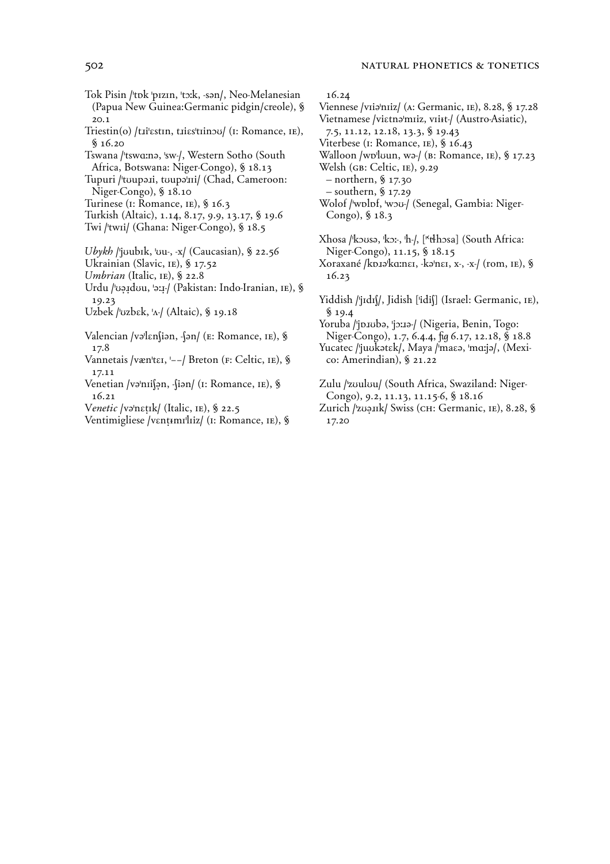Tok Pisin /'tok 'pızın, 'to:k, -san/, Neo-Melanesian (Papua New Guinea: Germanic pidgin/creole), §

 $20.1$ Triestin(o) /tɪi<sup>l</sup>ɛstɪn, tɪiɛsˈtɪinɔʊ/ (I: Romance, IE),

- $$16.20$
- Tswana /'tswɑːnə, 'sw-/, Western Sotho (South Africa, Botswana: Niger-Congo), § 18.13

Tupuri /'toupaii, toupa'ii/ (Chad, Cameroon: Niger-Congo), § 18.10

- Turinese (I: Romance, IE), § 16.3
- Turkish (Altaic), 1.14, 8.17, 9.9, 13.17, § 19.6
- Twi /'twii/ (Ghana: Niger-Congo), § 18.5

#### Ubykh /'joubik, 'ou-, -x/ (Caucasian), § 22.56

- Ukrainian (Slavic, IE), § 17.52
- Umbrian (Italic, IE), § 22.8
- Urdu /vəndou, 'an-/ (Pakistan: Indo-Iranian, IE), § 19.23
- Uzbek /ˈuzbɛk, 'A-/ (Altaic), § 19.18
- Valencian /vəlɛn(iən, -{ən/ (E: Romance, IE), § 17.8
- Vannetais /væn·tɛɪ, '--/ Breton (F: Celtic, IE), § 17.11
- Venetian /vəˈnɪisən, -siən/ (1: Romance, IE), §  $16.21$
- *Venetic |və*'nɛtɪk/ (Italic, IE), § 22.5
- Ventimigliese /vɛnṭɪmɪˈlɪiz/ (I: Romance, IE), §

## 16.24

- Viennese /viia/niiz/ (A: Germanic, IE), 8.28, § 17.28 Vietnamese /vietna/miiz, viitt-/ (Austro-Asiatic),  $7.5, 11.12, 12.18, 13.3,$  \$19.43 Viterbese (I: Romance, IE), § 16.43 Walloon /wo'loun, wa-/ (B: Romance, IE), § 17.23 Welsh (GB: Celtic, IE), 9.29  $-$  northern, § 17.30  $-$  southern, § 17.29 Wolof /wplpf, wou-/ (Senegal, Gambia: Niger-Congo), § 18.3 Xhosa /kousa, kor, h-/, ["thosa] (South Africa: Niger-Congo), 11.15, § 18.15 Xoraxané /kp.12 kq:ne1, -ka ne1, x-, -x-/ (rom, IE), §  $16.23$ Yiddish /'jɪdɪ(/, Jidish ['idi(] (Israel: Germanic, IE),  $$19.4$ Yoruba /'jp.10ba, 'jp.12-/ (Nigeria, Benin, Togo: Niger-Congo), 1.7, 6.4.4, fig 6.17, 12.18, § 18.8 Yucatec /'juukatak/, Maya /'maaa, 'marja/, (Mexico: Amerindian), § 21.22 Zulu / zoulou/ (South Africa, Swaziland: Niger-
- Congo), 9.2, 11.13, 11.15-6, § 18.16 Zurich /ˈzʊəɪɪk/ Swiss (CH: Germanic, IE), 8.28, §
	- 17.20